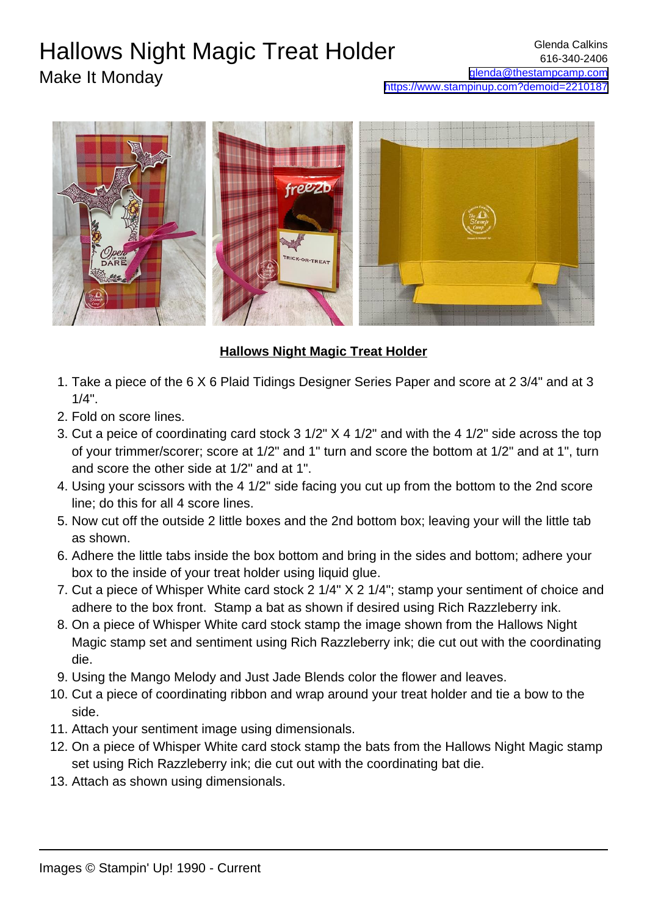## Hallows Night Magic Treat Holder

## Make It Monday



## **Hallows Night Magic Treat Holder**

- 1. Take a piece of the 6 X 6 Plaid Tidings Designer Series Paper and score at 2 3/4" and at 3  $1/4$ ".
- 2. Fold on score lines.
- 3. Cut a peice of coordinating card stock  $3 \frac{1}{2}$  X 4  $\frac{1}{2}$  and with the 4  $\frac{1}{2}$  side across the top of your trimmer/scorer; score at 1/2" and 1" turn and score the bottom at 1/2" and at 1", turn and score the other side at 1/2" and at 1".
- 4. Using your scissors with the 4 1/2" side facing you cut up from the bottom to the 2nd score line; do this for all 4 score lines.
- 5. Now cut off the outside 2 little boxes and the 2nd bottom box; leaving your will the little tab as shown.
- 6. Adhere the little tabs inside the box bottom and bring in the sides and bottom; adhere your box to the inside of your treat holder using liquid glue.
- 7. Cut a piece of Whisper White card stock 2 1/4" X 2 1/4"; stamp your sentiment of choice and adhere to the box front. Stamp a bat as shown if desired using Rich Razzleberry ink.
- 8. On a piece of Whisper White card stock stamp the image shown from the Hallows Night Magic stamp set and sentiment using Rich Razzleberry ink; die cut out with the coordinating die.
- 9. Using the Mango Melody and Just Jade Blends color the flower and leaves.
- 10. Cut a piece of coordinating ribbon and wrap around your treat holder and tie a bow to the side.
- 11. Attach your sentiment image using dimensionals.
- 12. On a piece of Whisper White card stock stamp the bats from the Hallows Night Magic stamp set using Rich Razzleberry ink; die cut out with the coordinating bat die.
- 13. Attach as shown using dimensionals.